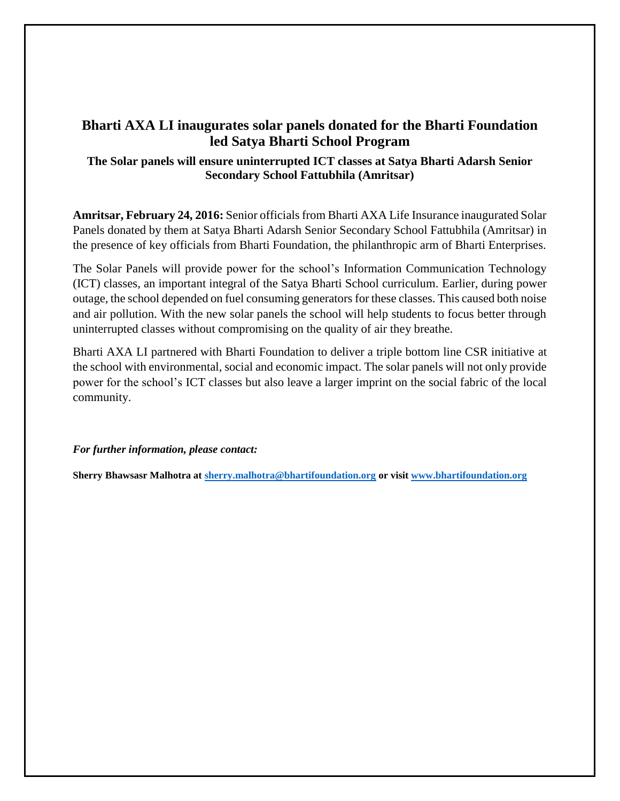# **Bharti AXA LI inaugurates solar panels donated for the Bharti Foundation led Satya Bharti School Program**

# **The Solar panels will ensure uninterrupted ICT classes at Satya Bharti Adarsh Senior Secondary School Fattubhila (Amritsar)**

**Amritsar, February 24, 2016:** Senior officials from Bharti AXA Life Insurance inaugurated Solar Panels donated by them at Satya Bharti Adarsh Senior Secondary School Fattubhila (Amritsar) in the presence of key officials from Bharti Foundation, the philanthropic arm of Bharti Enterprises.

The Solar Panels will provide power for the school's Information Communication Technology (ICT) classes, an important integral of the Satya Bharti School curriculum. Earlier, during power outage, the school depended on fuel consuming generators for these classes. This caused both noise and air pollution. With the new solar panels the school will help students to focus better through uninterrupted classes without compromising on the quality of air they breathe.

Bharti AXA LI partnered with Bharti Foundation to deliver a triple bottom line CSR initiative at the school with environmental, social and economic impact. The solar panels will not only provide power for the school's ICT classes but also leave a larger imprint on the social fabric of the local community.

*For further information, please contact:*

**Sherry Bhawsasr Malhotra at [sherry.malhotra@bhartifoundation.org](mailto:sherry.malhotra@bhartifoundation.org) or visit [www.bhartifoundation.org](http://www.bhartifoundation.org/)**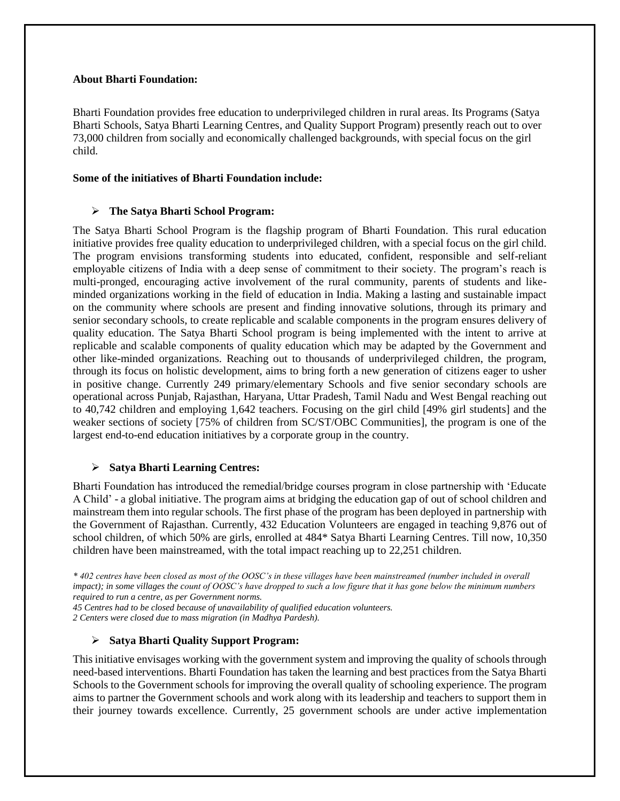#### **About Bharti Foundation:**

Bharti Foundation provides free education to underprivileged children in rural areas. Its Programs (Satya Bharti Schools, Satya Bharti Learning Centres, and Quality Support Program) presently reach out to over 73,000 children from socially and economically challenged backgrounds, with special focus on the girl child.

#### **Some of the initiatives of Bharti Foundation include:**

#### **The Satya Bharti School Program:**

The Satya Bharti School Program is the flagship program of Bharti Foundation. This rural education initiative provides free quality education to underprivileged children, with a special focus on the girl child. The program envisions transforming students into educated, confident, responsible and self-reliant employable citizens of India with a deep sense of commitment to their society. The program's reach is multi-pronged, encouraging active involvement of the rural community, parents of students and likeminded organizations working in the field of education in India. Making a lasting and sustainable impact on the community where schools are present and finding innovative solutions, through its primary and senior secondary schools, to create replicable and scalable components in the program ensures delivery of quality education. The Satya Bharti School program is being implemented with the intent to arrive at replicable and scalable components of quality education which may be adapted by the Government and other like-minded organizations. Reaching out to thousands of underprivileged children, the program, through its focus on holistic development, aims to bring forth a new generation of citizens eager to usher in positive change. Currently 249 primary/elementary Schools and five senior secondary schools are operational across Punjab, Rajasthan, Haryana, Uttar Pradesh, Tamil Nadu and West Bengal reaching out to 40,742 children and employing 1,642 teachers. Focusing on the girl child [49% girl students] and the weaker sections of society [75% of children from SC/ST/OBC Communities], the program is one of the largest end-to-end education initiatives by a corporate group in the country.

#### **Satya Bharti Learning Centres:**

Bharti Foundation has introduced the remedial/bridge courses program in close partnership with 'Educate A Child' - a global initiative. The program aims at bridging the education gap of out of school children and mainstream them into regular schools. The first phase of the program has been deployed in partnership with the Government of Rajasthan. Currently, 432 Education Volunteers are engaged in teaching 9,876 out of school children, of which 50% are girls, enrolled at 484\* Satya Bharti Learning Centres. Till now, 10,350 children have been mainstreamed, with the total impact reaching up to 22,251 children.

*\* 402 centres have been closed as most of the OOSC's in these villages have been mainstreamed (number included in overall impact); in some villages the count of OOSC's have dropped to such a low figure that it has gone below the minimum numbers required to run a centre, as per Government norms.* 

*45 Centres had to be closed because of unavailability of qualified education volunteers. 2 Centers were closed due to mass migration (in Madhya Pardesh).*

## **Satya Bharti Quality Support Program:**

This initiative envisages working with the government system and improving the quality of schools through need-based interventions. Bharti Foundation has taken the learning and best practices from the Satya Bharti Schools to the Government schools for improving the overall quality of schooling experience. The program aims to partner the Government schools and work along with its leadership and teachers to support them in their journey towards excellence. Currently, 25 government schools are under active implementation